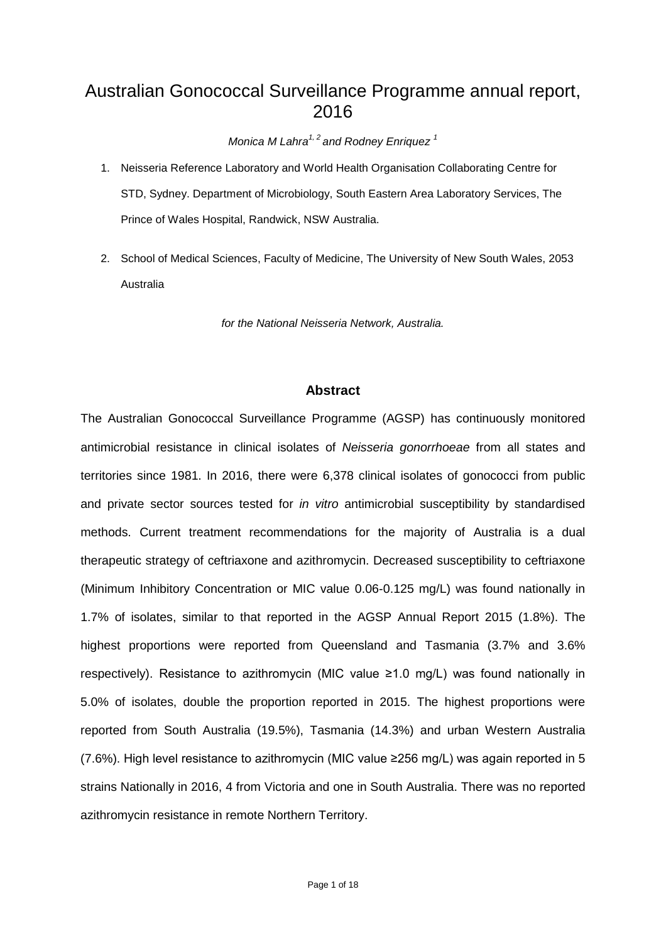# Australian Gonococcal Surveillance Programme annual report, 2016

*Monica M Lahra1, 2 and Rodney Enriquez 1* 

- 1. Neisseria Reference Laboratory and World Health Organisation Collaborating Centre for STD, Sydney. Department of Microbiology, South Eastern Area Laboratory Services, The Prince of Wales Hospital, Randwick, NSW Australia.
- 2. School of Medical Sciences, Faculty of Medicine, The University of New South Wales, 2053 Australia

*for the National Neisseria Network, Australia.*

## **Abstract**

The Australian Gonococcal Surveillance Programme (AGSP) has continuously monitored antimicrobial resistance in clinical isolates of *Neisseria gonorrhoeae* from all states and territories since 1981. In 2016, there were 6,378 clinical isolates of gonococci from public and private sector sources tested for *in vitro* antimicrobial susceptibility by standardised methods. Current treatment recommendations for the majority of Australia is a dual therapeutic strategy of ceftriaxone and azithromycin. Decreased susceptibility to ceftriaxone (Minimum Inhibitory Concentration or MIC value 0.06-0.125 mg/L) was found nationally in 1.7% of isolates, similar to that reported in the AGSP Annual Report 2015 (1.8%). The highest proportions were reported from Queensland and Tasmania (3.7% and 3.6% respectively). Resistance to azithromycin (MIC value ≥1.0 mg/L) was found nationally in 5.0% of isolates, double the proportion reported in 2015. The highest proportions were reported from South Australia (19.5%), Tasmania (14.3%) and urban Western Australia (7.6%). High level resistance to azithromycin (MIC value ≥256 mg/L) was again reported in 5 strains Nationally in 2016, 4 from Victoria and one in South Australia. There was no reported azithromycin resistance in remote Northern Territory.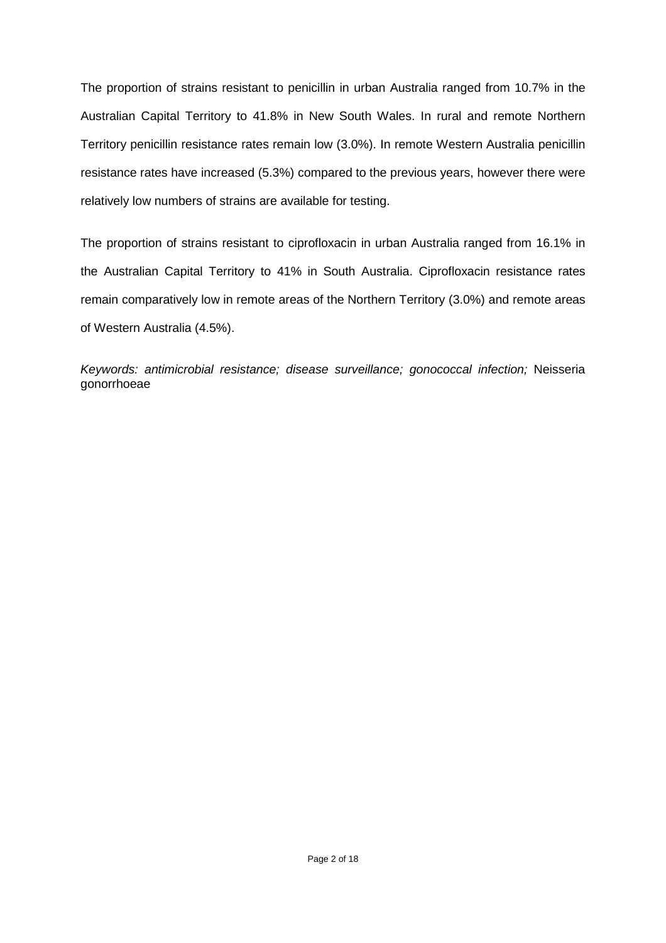The proportion of strains resistant to penicillin in urban Australia ranged from 10.7% in the Australian Capital Territory to 41.8% in New South Wales. In rural and remote Northern Territory penicillin resistance rates remain low (3.0%). In remote Western Australia penicillin resistance rates have increased (5.3%) compared to the previous years, however there were relatively low numbers of strains are available for testing.

The proportion of strains resistant to ciprofloxacin in urban Australia ranged from 16.1% in the Australian Capital Territory to 41% in South Australia. Ciprofloxacin resistance rates remain comparatively low in remote areas of the Northern Territory (3.0%) and remote areas of Western Australia (4.5%).

*Keywords: antimicrobial resistance; disease surveillance; gonococcal infection;* Neisseria gonorrhoeae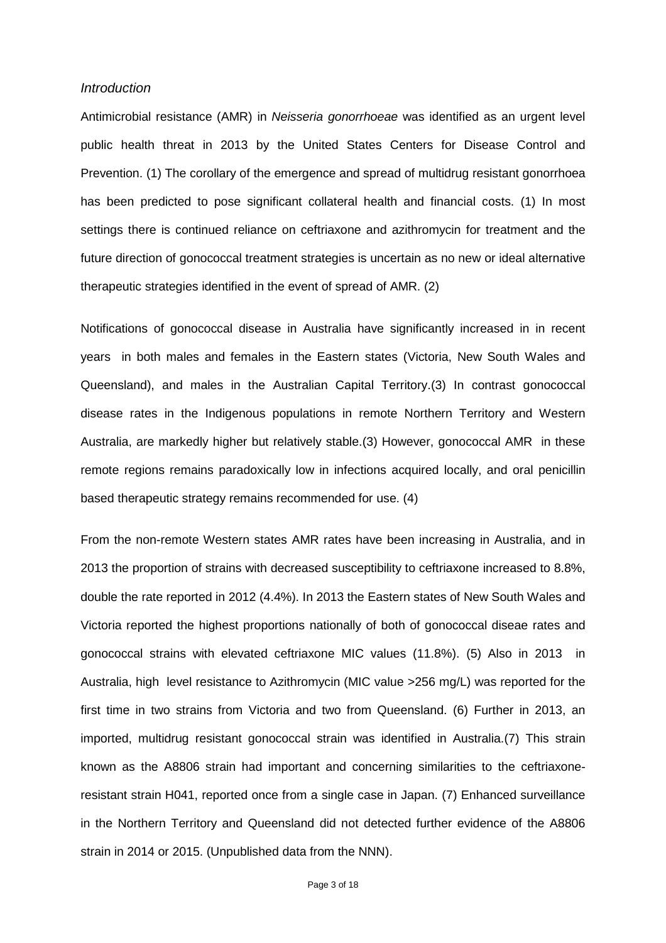#### *Introduction*

Antimicrobial resistance (AMR) in *Neisseria gonorrhoeae* was identified as an urgent level public health threat in 2013 by the United States Centers for Disease Control and Prevention. [\(1\)](#page-16-0) The corollary of the emergence and spread of multidrug resistant gonorrhoea has been predicted to pose significant collateral health and financial costs. [\(1\)](#page-16-0) In most settings there is continued reliance on ceftriaxone and azithromycin for treatment and the future direction of gonococcal treatment strategies is uncertain as no new or ideal alternative therapeutic strategies identified in the event of spread of AMR. [\(2\)](#page-16-1)

Notifications of gonococcal disease in Australia have significantly increased in in recent years in both males and females in the Eastern states (Victoria, New South Wales and Queensland), and males in the Australian Capital Territory.[\(3\)](#page-16-2) In contrast gonococcal disease rates in the Indigenous populations in remote Northern Territory and Western Australia, are markedly higher but relatively stable.[\(3\)](#page-16-2) However, gonococcal AMR in these remote regions remains paradoxically low in infections acquired locally, and oral penicillin based therapeutic strategy remains recommended for use. [\(4\)](#page-16-3)

From the non-remote Western states AMR rates have been increasing in Australia, and in 2013 the proportion of strains with decreased susceptibility to ceftriaxone increased to 8.8%, double the rate reported in 2012 (4.4%). In 2013 the Eastern states of New South Wales and Victoria reported the highest proportions nationally of both of gonococcal diseae rates and gonococcal strains with elevated ceftriaxone MIC values (11.8%). [\(5\)](#page-16-4) Also in 2013 in Australia, high level resistance to Azithromycin (MIC value >256 mg/L) was reported for the first time in two strains from Victoria and two from Queensland. [\(6\)](#page-16-5) Further in 2013, an imported, multidrug resistant gonococcal strain was identified in Australia.[\(7\)](#page-16-6) This strain known as the A8806 strain had important and concerning similarities to the ceftriaxoneresistant strain H041, reported once from a single case in Japan. [\(7\)](#page-16-6) Enhanced surveillance in the Northern Territory and Queensland did not detected further evidence of the A8806 strain in 2014 or 2015. (Unpublished data from the NNN).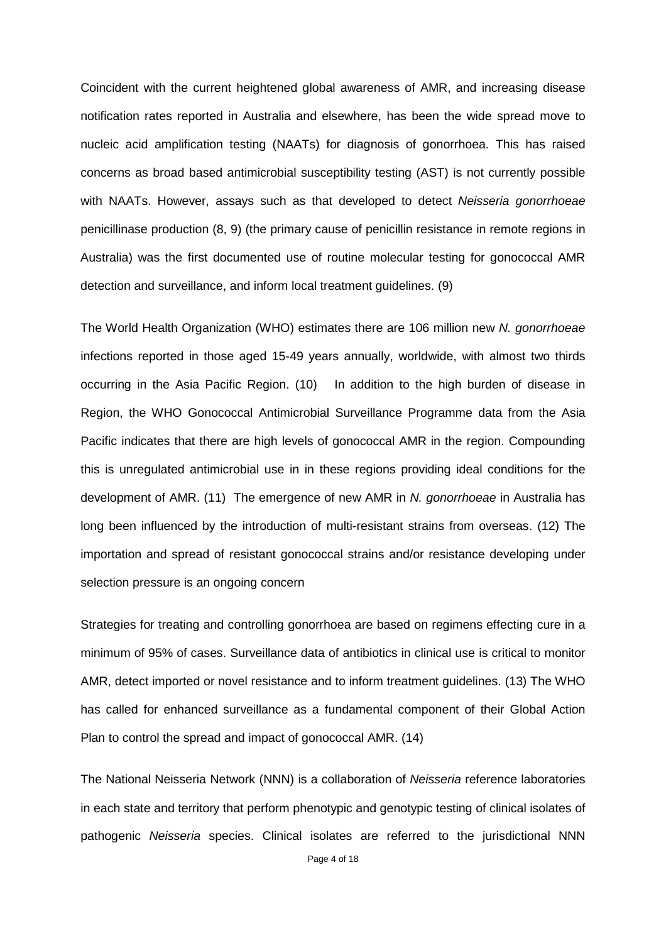Coincident with the current heightened global awareness of AMR, and increasing disease notification rates reported in Australia and elsewhere, has been the wide spread move to nucleic acid amplification testing (NAATs) for diagnosis of gonorrhoea. This has raised concerns as broad based antimicrobial susceptibility testing (AST) is not currently possible with NAATs. However, assays such as that developed to detect *Neisseria gonorrhoeae* penicillinase production [\(8,](#page-16-7) [9\)](#page-16-8) (the primary cause of penicillin resistance in remote regions in Australia) was the first documented use of routine molecular testing for gonococcal AMR detection and surveillance, and inform local treatment guidelines. [\(9\)](#page-16-8)

The World Health Organization (WHO) estimates there are 106 million new *N. gonorrhoeae* infections reported in those aged 15-49 years annually, worldwide, with almost two thirds occurring in the Asia Pacific Region. [\(10\)](#page-16-9) In addition to the high burden of disease in Region, the WHO Gonococcal Antimicrobial Surveillance Programme data from the Asia Pacific indicates that there are high levels of gonococcal AMR in the region. Compounding this is unregulated antimicrobial use in in these regions providing ideal conditions for the development of AMR. [\(11\)](#page-16-10) The emergence of new AMR in *N. gonorrhoeae* in Australia has long been influenced by the introduction of multi-resistant strains from overseas. [\(12\)](#page-16-11) The importation and spread of resistant gonococcal strains and/or resistance developing under selection pressure is an ongoing concern

Strategies for treating and controlling gonorrhoea are based on regimens effecting cure in a minimum of 95% of cases. Surveillance data of antibiotics in clinical use is critical to monitor AMR, detect imported or novel resistance and to inform treatment guidelines. [\(13\)](#page-16-12) The WHO has called for enhanced surveillance as a fundamental component of their Global Action Plan to control the spread and impact of gonococcal AMR. [\(14\)](#page-16-13)

The National Neisseria Network (NNN) is a collaboration of *Neisseria* reference laboratories in each state and territory that perform phenotypic and genotypic testing of clinical isolates of pathogenic *Neisseria* species. Clinical isolates are referred to the jurisdictional NNN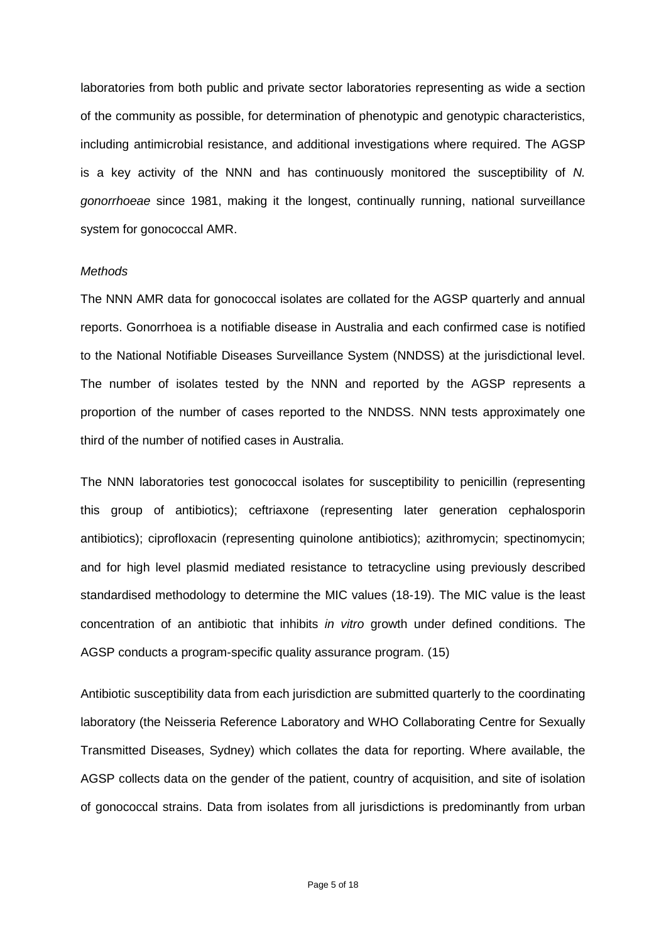laboratories from both public and private sector laboratories representing as wide a section of the community as possible, for determination of phenotypic and genotypic characteristics, including antimicrobial resistance, and additional investigations where required. The AGSP is a key activity of the NNN and has continuously monitored the susceptibility of *N. gonorrhoeae* since 1981, making it the longest, continually running, national surveillance system for gonococcal AMR.

#### *Methods*

The NNN AMR data for gonococcal isolates are collated for the AGSP quarterly and annual reports. Gonorrhoea is a notifiable disease in Australia and each confirmed case is notified to the National Notifiable Diseases Surveillance System (NNDSS) at the jurisdictional level. The number of isolates tested by the NNN and reported by the AGSP represents a proportion of the number of cases reported to the NNDSS. NNN tests approximately one third of the number of notified cases in Australia.

The NNN laboratories test gonococcal isolates for susceptibility to penicillin (representing this group of antibiotics); ceftriaxone (representing later generation cephalosporin antibiotics); ciprofloxacin (representing quinolone antibiotics); azithromycin; spectinomycin; and for high level plasmid mediated resistance to tetracycline using previously described standardised methodology to determine the MIC values (18-19). The MIC value is the least concentration of an antibiotic that inhibits *in vitro* growth under defined conditions. The AGSP conducts a program-specific quality assurance program. [\(15\)](#page-16-14)

Antibiotic susceptibility data from each jurisdiction are submitted quarterly to the coordinating laboratory (the Neisseria Reference Laboratory and WHO Collaborating Centre for Sexually Transmitted Diseases, Sydney) which collates the data for reporting. Where available, the AGSP collects data on the gender of the patient, country of acquisition, and site of isolation of gonococcal strains. Data from isolates from all jurisdictions is predominantly from urban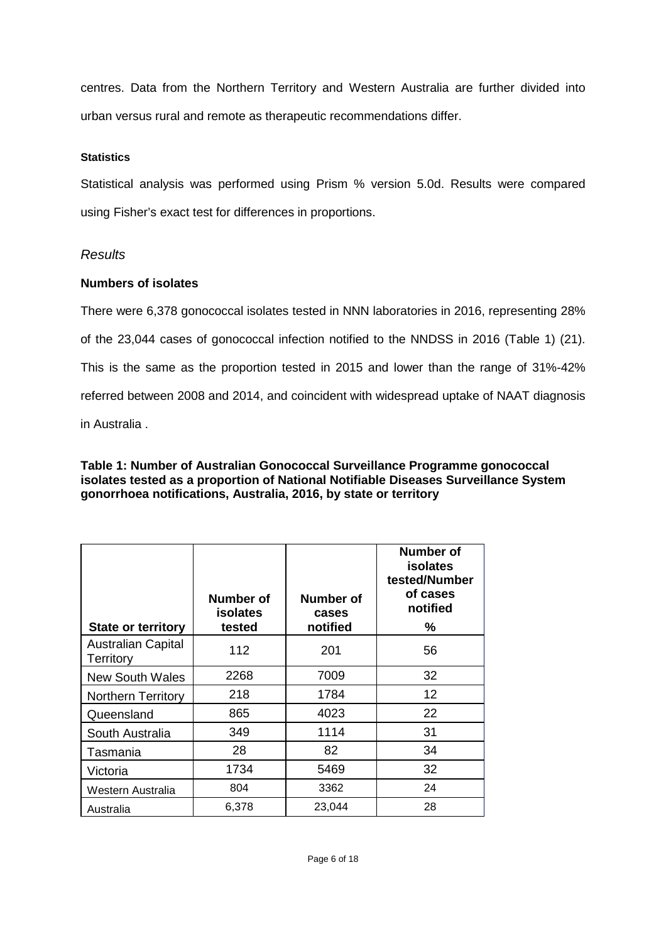centres. Data from the Northern Territory and Western Australia are further divided into urban versus rural and remote as therapeutic recommendations differ.

## **Statistics**

Statistical analysis was performed using Prism % version 5.0d. Results were compared using Fisher's exact test for differences in proportions.

## *Results*

#### **Numbers of isolates**

There were 6,378 gonococcal isolates tested in NNN laboratories in 2016, representing 28% of the 23,044 cases of gonococcal infection notified to the NNDSS in 2016 (Table 1) (21). This is the same as the proportion tested in 2015 and lower than the range of 31%-42% referred between 2008 and 2014, and coincident with widespread uptake of NAAT diagnosis in Australia .

## **Table 1: Number of Australian Gonococcal Surveillance Programme gonococcal isolates tested as a proportion of National Notifiable Diseases Surveillance System gonorrhoea notifications, Australia, 2016, by state or territory**

| <b>State or territory</b>                     | Number of<br>isolates<br>tested | <b>Number of</b><br>cases<br>notified | <b>Number of</b><br><b>isolates</b><br>tested/Number<br>of cases<br>notified<br>℅ |
|-----------------------------------------------|---------------------------------|---------------------------------------|-----------------------------------------------------------------------------------|
|                                               |                                 |                                       |                                                                                   |
| <b>Australian Capital</b><br><b>Territory</b> | 112                             | 201                                   | 56                                                                                |
| <b>New South Wales</b>                        | 2268                            | 7009                                  | 32                                                                                |
| <b>Northern Territory</b>                     | 218                             | 1784                                  | 12                                                                                |
| Queensland                                    | 865                             | 4023                                  | 22                                                                                |
| South Australia                               | 349                             | 1114                                  | 31                                                                                |
| Tasmania                                      | 28                              | 82                                    | 34                                                                                |
| Victoria                                      | 1734                            | 5469                                  | 32                                                                                |
| Western Australia                             | 804                             | 3362                                  | 24                                                                                |
| Australia                                     | 6,378                           | 23,044                                | 28                                                                                |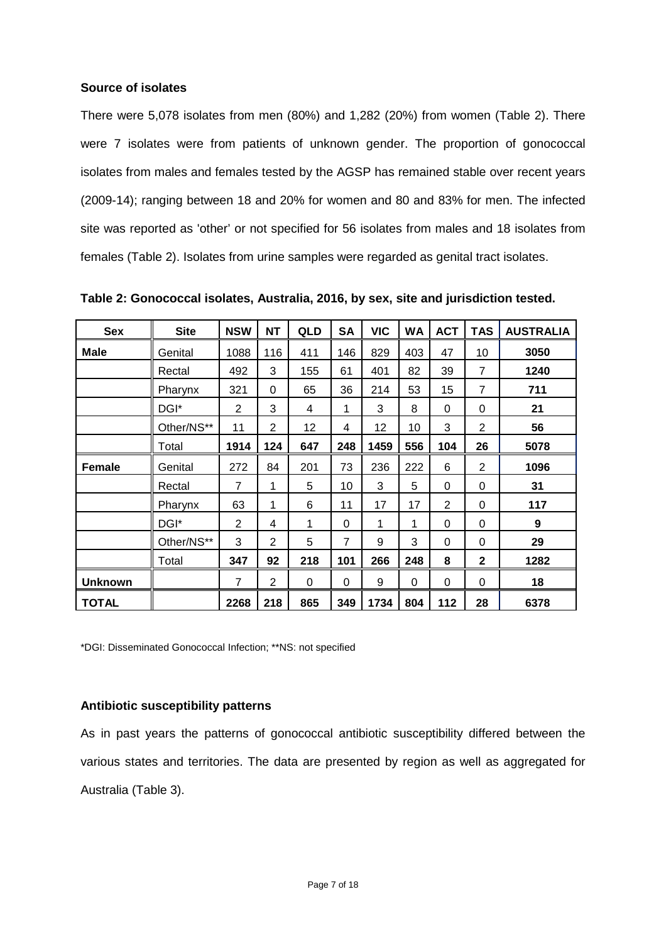#### **Source of isolates**

There were 5,078 isolates from men (80%) and 1,282 (20%) from women (Table 2). There were 7 isolates were from patients of unknown gender. The proportion of gonococcal isolates from males and females tested by the AGSP has remained stable over recent years (2009-14); ranging between 18 and 20% for women and 80 and 83% for men. The infected site was reported as 'other' or not specified for 56 isolates from males and 18 isolates from females (Table 2). Isolates from urine samples were regarded as genital tract isolates.

| <b>Sex</b>    | <b>Site</b> | <b>NSW</b>     | <b>NT</b>      | QLD | <b>SA</b>      | <b>VIC</b> | <b>WA</b> | <b>ACT</b> | <b>TAS</b>     | <b>AUSTRALIA</b> |
|---------------|-------------|----------------|----------------|-----|----------------|------------|-----------|------------|----------------|------------------|
| Male          | Genital     | 1088           | 116            | 411 | 146            | 829        | 403       | 47         | 10             | 3050             |
|               | Rectal      | 492            | 3              | 155 | 61             | 401        | 82        | 39         | $\overline{7}$ | 1240             |
|               | Pharynx     | 321            | 0              | 65  | 36             | 214        | 53        | 15         | $\overline{7}$ | 711              |
|               | DGI*        | 2              | 3              | 4   | 1              | 3          | 8         | 0          | 0              | 21               |
|               | Other/NS**  | 11             | $\overline{2}$ | 12  | 4              | 12         | 10        | 3          | 2              | 56               |
|               | Total       | 1914           | 124            | 647 | 248            | 1459       | 556       | 104        | 26             | 5078             |
| <b>Female</b> | Genital     | 272            | 84             | 201 | 73             | 236        | 222       | 6          | 2              | 1096             |
|               | Rectal      | $\overline{7}$ | 1              | 5   | 10             | 3          | 5         | 0          | $\Omega$       | 31               |
|               | Pharynx     | 63             | 1              | 6   | 11             | 17         | 17        | 2          | $\Omega$       | 117              |
|               | DGI*        | $\overline{2}$ | 4              | 1   | $\Omega$       | 1          | 1         | $\Omega$   | $\Omega$       | 9                |
|               | Other/NS**  | 3              | $\overline{2}$ | 5   | $\overline{7}$ | 9          | 3         | 0          | $\Omega$       | 29               |
|               | Total       | 347            | 92             | 218 | 101            | 266        | 248       | 8          | $\mathbf{2}$   | 1282             |
| Unknown       |             | 7              | $\overline{2}$ | 0   | 0              | 9          | 0         | 0          | 0              | 18               |
| <b>TOTAL</b>  |             | 2268           | 218            | 865 | 349            | 1734       | 804       | 112        | 28             | 6378             |

**Table 2: Gonococcal isolates, Australia, 2016, by sex, site and jurisdiction tested.**

\*DGI: Disseminated Gonococcal Infection; \*\*NS: not specified

## **Antibiotic susceptibility patterns**

As in past years the patterns of gonococcal antibiotic susceptibility differed between the various states and territories. The data are presented by region as well as aggregated for Australia (Table 3).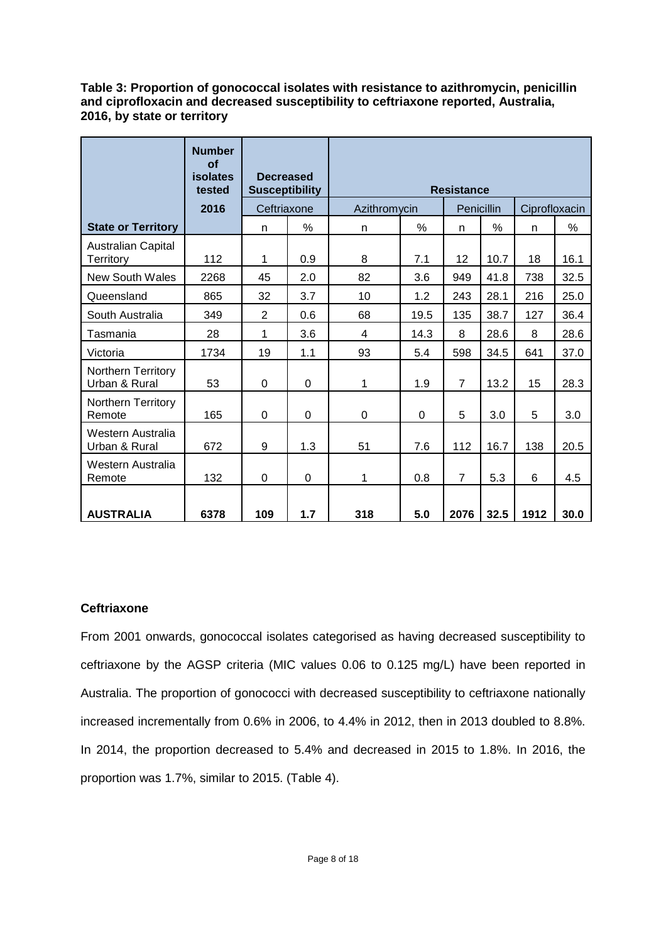**Table 3: Proportion of gonococcal isolates with resistance to azithromycin, penicillin and ciprofloxacin and decreased susceptibility to ceftriaxone reported, Australia, 2016, by state or territory**

|                                     | <b>Number</b><br>of<br>isolates<br>tested | <b>Decreased</b><br><b>Susceptibility</b> |                | <b>Resistance</b> |              |                |            |               |               |  |  |
|-------------------------------------|-------------------------------------------|-------------------------------------------|----------------|-------------------|--------------|----------------|------------|---------------|---------------|--|--|
|                                     | 2016                                      | Ceftriaxone                               |                |                   | Azithromycin |                | Penicillin | Ciprofloxacin |               |  |  |
| <b>State or Territory</b>           |                                           | n                                         | %              | n                 | $\%$         | n              | $\%$       | n             | $\frac{0}{0}$ |  |  |
| Australian Capital<br>Territory     | 112                                       | 1                                         | 0.9            | 8                 | 7.1          | 12             | 10.7       | 18            | 16.1          |  |  |
| New South Wales                     | 2268                                      | 45                                        | 2.0            | 82                | 3.6          | 949            | 41.8       | 738           | 32.5          |  |  |
| Queensland                          | 865                                       | 32                                        | 3.7            | 10                | 1.2          | 243            | 28.1       | 216           | 25.0          |  |  |
| South Australia                     | 349                                       | $\overline{2}$                            | 0.6            | 68                | 19.5         | 135            | 38.7       | 127           | 36.4          |  |  |
| Tasmania                            | 28                                        | 1                                         | 3.6            | 4                 | 14.3         | 8              | 28.6       | 8             | 28.6          |  |  |
| Victoria                            | 1734                                      | 19                                        | 1.1            | 93                | 5.4          | 598            | 34.5       | 641           | 37.0          |  |  |
| Northern Territory<br>Urban & Rural | 53                                        | $\Omega$                                  | $\overline{0}$ | 1                 | 1.9          | $\overline{7}$ | 13.2       | 15            | 28.3          |  |  |
| Northern Territory<br>Remote        | 165                                       | $\Omega$                                  | $\Omega$       | 0                 | 0            | 5              | 3.0        | 5             | 3.0           |  |  |
| Western Australia<br>Urban & Rural  | 672                                       | 9                                         | 1.3            | 51                | 7.6          | 112            | 16.7       | 138           | 20.5          |  |  |
| Western Australia<br>Remote         | 132                                       | $\Omega$                                  | $\Omega$       | 1                 | 0.8          | $\overline{7}$ | 5.3        | 6             | 4.5           |  |  |
| <b>AUSTRALIA</b>                    | 6378                                      | 109                                       | 1.7            | 318               | 5.0          | 2076           | 32.5       | 1912          | 30.0          |  |  |

## **Ceftriaxone**

From 2001 onwards, gonococcal isolates categorised as having decreased susceptibility to ceftriaxone by the AGSP criteria (MIC values 0.06 to 0.125 mg/L) have been reported in Australia. The proportion of gonococci with decreased susceptibility to ceftriaxone nationally increased incrementally from 0.6% in 2006, to 4.4% in 2012, then in 2013 doubled to 8.8%. In 2014, the proportion decreased to 5.4% and decreased in 2015 to 1.8%. In 2016, the proportion was 1.7%, similar to 2015. (Table 4).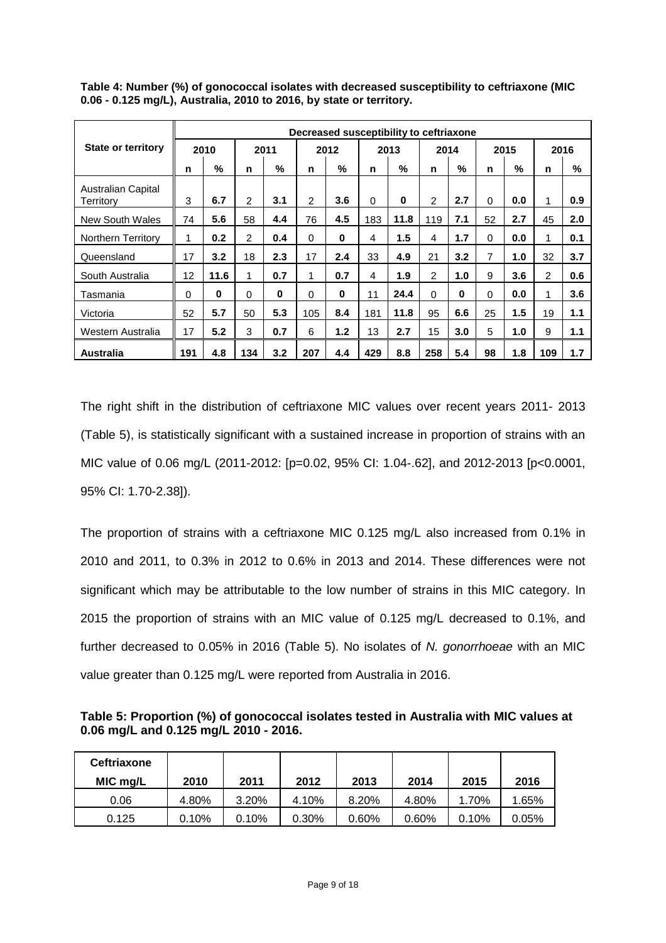|                                 |          |          |               |          |                |          |          | Decreased susceptibility to ceftriaxone |                |          |          |      |               |      |
|---------------------------------|----------|----------|---------------|----------|----------------|----------|----------|-----------------------------------------|----------------|----------|----------|------|---------------|------|
| <b>State or territory</b>       |          | 2010     |               | 2011     |                | 2012     |          | 2013                                    | 2014           |          |          | 2015 |               | 2016 |
|                                 | n        | %        | n             | %        | n              | %        | n        | %                                       | n              | $\%$     | n        | %    | n             | %    |
| Australian Capital<br>Territory | 3        | 6.7      | $\mathcal{P}$ | 3.1      | $\overline{2}$ | 3.6      | $\Omega$ | $\bf{0}$                                | $\overline{2}$ | 2.7      | $\Omega$ | 0.0  | 1             | 0.9  |
| <b>New South Wales</b>          | 74       | 5.6      | 58            | 4.4      | 76             | 4.5      | 183      | 11.8                                    | 119            | 7.1      | 52       | 2.7  | 45            | 2.0  |
| Northern Territory              | 1        | 0.2      | 2             | 0.4      | $\Omega$       | $\bf{0}$ | 4        | 1.5                                     | 4              | 1.7      | $\Omega$ | 0.0  | 1             | 0.1  |
| Queensland                      | 17       | 3.2      | 18            | 2.3      | 17             | 2.4      | 33       | 4.9                                     | 21             | 3.2      | 7        | 1.0  | 32            | 3.7  |
| South Australia                 | 12       | 11.6     | 1             | 0.7      | 1              | 0.7      | 4        | 1.9                                     | $\overline{2}$ | 1.0      | 9        | 3.6  | $\mathcal{P}$ | 0.6  |
| Tasmania                        | $\Omega$ | $\bf{0}$ | $\Omega$      | $\bf{0}$ | $\Omega$       | 0        | 11       | 24.4                                    | $\Omega$       | $\bf{0}$ | 0        | 0.0  | 1             | 3.6  |
| Victoria                        | 52       | 5.7      | 50            | 5.3      | 105            | 8.4      | 181      | 11.8                                    | 95             | 6.6      | 25       | 1.5  | 19            | 1.1  |
| Western Australia               | 17       | 5.2      | 3             | 0.7      | 6              | 1.2      | 13       | 2.7                                     | 15             | 3.0      | 5        | 1.0  | 9             | 1.1  |
| Australia                       | 191      | 4.8      | 134           | 3.2      | 207            | 4.4      | 429      | 8.8                                     | 258            | 5.4      | 98       | 1.8  | 109           | 1.7  |

**Table 4: Number (%) of gonococcal isolates with decreased susceptibility to ceftriaxone (MIC 0.06 - 0.125 mg/L), Australia, 2010 to 2016, by state or territory.**

The right shift in the distribution of ceftriaxone MIC values over recent years 2011- 2013 (Table 5), is statistically significant with a sustained increase in proportion of strains with an MIC value of 0.06 mg/L (2011-2012: [p=0.02, 95% CI: 1.04-.62], and 2012-2013 [p<0.0001, 95% CI: 1.70-2.38]).

The proportion of strains with a ceftriaxone MIC 0.125 mg/L also increased from 0.1% in 2010 and 2011, to 0.3% in 2012 to 0.6% in 2013 and 2014. These differences were not significant which may be attributable to the low number of strains in this MIC category. In 2015 the proportion of strains with an MIC value of 0.125 mg/L decreased to 0.1%, and further decreased to 0.05% in 2016 (Table 5). No isolates of *N. gonorrhoeae* with an MIC value greater than 0.125 mg/L were reported from Australia in 2016.

**Table 5: Proportion (%) of gonococcal isolates tested in Australia with MIC values at 0.06 mg/L and 0.125 mg/L 2010 - 2016.**

| <b>Ceftriaxone</b><br>MIC mg/L | 2010  | 2011  | 2012  | 2013  | 2014  | 2015  | 2016  |
|--------------------------------|-------|-------|-------|-------|-------|-------|-------|
| 0.06                           | 4.80% | 3.20% | 4.10% | 8.20% | 4.80% | 1.70% | .65%  |
| 0.125                          | 0.10% | 0.10% | 0.30% | 0.60% | 0.60% | 0.10% | 0.05% |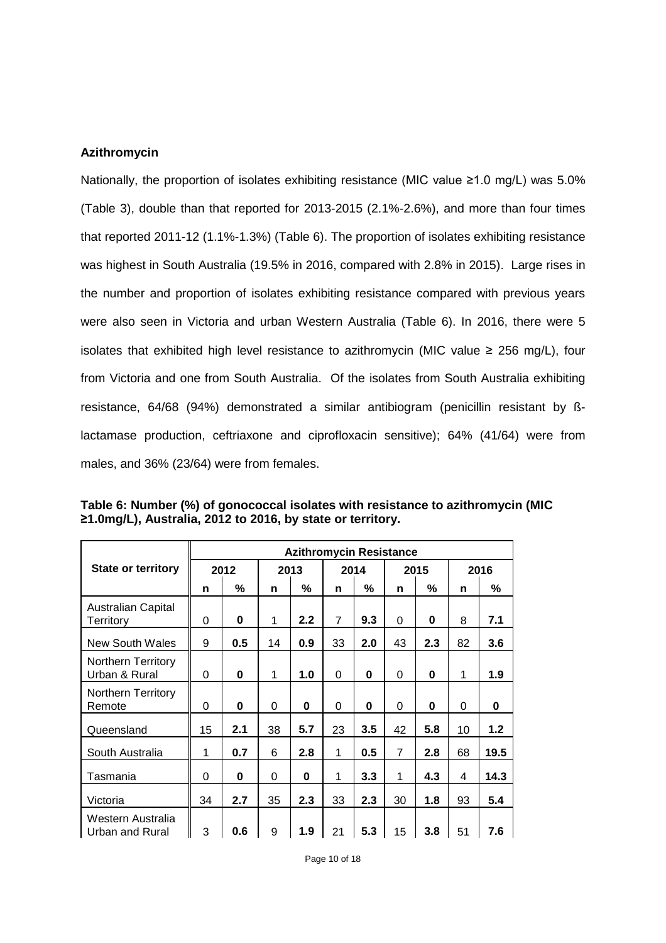#### **Azithromycin**

Nationally, the proportion of isolates exhibiting resistance (MIC value ≥1.0 mg/L) was 5.0% (Table 3), double than that reported for 2013-2015 (2.1%-2.6%), and more than four times that reported 2011-12 (1.1%-1.3%) (Table 6). The proportion of isolates exhibiting resistance was highest in South Australia (19.5% in 2016, compared with 2.8% in 2015). Large rises in the number and proportion of isolates exhibiting resistance compared with previous years were also seen in Victoria and urban Western Australia (Table 6). In 2016, there were 5 isolates that exhibited high level resistance to azithromycin (MIC value  $\geq$  256 mg/L), four from Victoria and one from South Australia. Of the isolates from South Australia exhibiting resistance, 64/68 (94%) demonstrated a similar antibiogram (penicillin resistant by ßlactamase production, ceftriaxone and ciprofloxacin sensitive); 64% (41/64) were from males, and 36% (23/64) were from females.

|                                            |      | <b>Azithromycin Resistance</b> |          |          |                |                  |    |      |    |       |  |  |
|--------------------------------------------|------|--------------------------------|----------|----------|----------------|------------------|----|------|----|-------|--|--|
| <b>State or territory</b>                  | 2012 |                                |          | 2013     |                | 2014             |    | 2015 |    | 2016  |  |  |
|                                            | n    | %                              | n        | %        | n              | %                | n  | %    | n  | %     |  |  |
| <b>Australian Capital</b><br>Territory     | 0    | $\bf{0}$                       | 1        | 2.2      | $\overline{7}$ | 9.3              | 0  | 0    | 8  | 7.1   |  |  |
| New South Wales                            | 9    | 0.5                            | 14       | 0.9      | 33             | 2.0              | 43 | 2.3  | 82 | 3.6   |  |  |
| <b>Northern Territory</b><br>Urban & Rural | 0    | $\bf{0}$                       | 1        | 1.0      | 0              | $\bf{0}$         | 0  | 0    | 1  | 1.9   |  |  |
| Northern Territory<br>Remote               | 0    | $\bf{0}$                       | $\Omega$ | $\bf{0}$ | 0              | $\bf{0}$         | 0  | 0    | 0  | 0     |  |  |
| Queensland                                 | 15   | 2.1                            | 38       | 5.7      | 23             | 3.5              | 42 | 5.8  | 10 | $1.2$ |  |  |
| South Australia                            | 1    | 0.7                            | 6        | 2.8      | 1              | 0.5              | 7  | 2.8  | 68 | 19.5  |  |  |
| Tasmania                                   | 0    | $\bf{0}$                       | $\Omega$ | $\bf{0}$ | 1              | 3.3              | 1  | 4.3  | 4  | 14.3  |  |  |
| Victoria                                   | 34   | 2.7                            | 35       | 2.3      | 33             | $2.3\phantom{0}$ | 30 | 1.8  | 93 | 5.4   |  |  |
| Western Australia<br>Urban and Rural       | 3    | 0.6                            | 9        | 1.9      | 21             | 5.3              | 15 | 3.8  | 51 | 7.6   |  |  |

**Table 6: Number (%) of gonococcal isolates with resistance to azithromycin (MIC ≥1.0mg/L), Australia, 2012 to 2016, by state or territory.**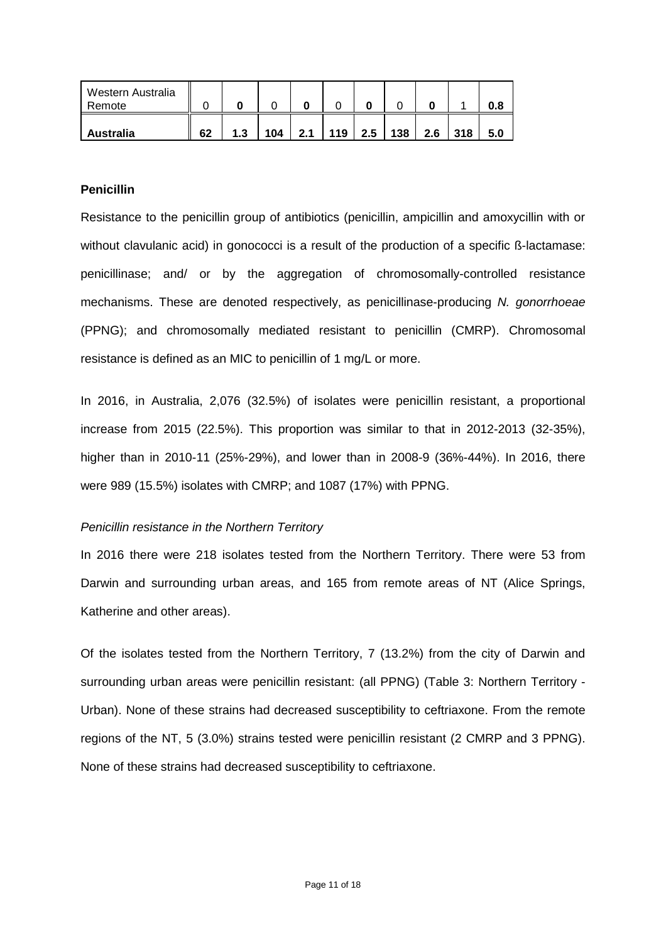| Western Australia<br>Remote |    |     |     |     |     |     |     |     |     | 0.8 |
|-----------------------------|----|-----|-----|-----|-----|-----|-----|-----|-----|-----|
| <b>Australia</b>            | 62 | 1.3 | 104 | 2.1 | 119 | 2.5 | 138 | 2.6 | 318 | 5.0 |

## **Penicillin**

Resistance to the penicillin group of antibiotics (penicillin, ampicillin and amoxycillin with or without clavulanic acid) in gonococci is a result of the production of a specific B-lactamase: penicillinase; and/ or by the aggregation of chromosomally-controlled resistance mechanisms. These are denoted respectively, as penicillinase-producing *N. gonorrhoeae* (PPNG); and chromosomally mediated resistant to penicillin (CMRP). Chromosomal resistance is defined as an MIC to penicillin of 1 mg/L or more.

In 2016, in Australia, 2,076 (32.5%) of isolates were penicillin resistant, a proportional increase from 2015 (22.5%). This proportion was similar to that in 2012-2013 (32-35%), higher than in 2010-11 (25%-29%), and lower than in 2008-9 (36%-44%). In 2016, there were 989 (15.5%) isolates with CMRP; and 1087 (17%) with PPNG.

## *Penicillin resistance in the Northern Territory*

In 2016 there were 218 isolates tested from the Northern Territory. There were 53 from Darwin and surrounding urban areas, and 165 from remote areas of NT (Alice Springs, Katherine and other areas).

Of the isolates tested from the Northern Territory, 7 (13.2%) from the city of Darwin and surrounding urban areas were penicillin resistant: (all PPNG) (Table 3: Northern Territory - Urban). None of these strains had decreased susceptibility to ceftriaxone. From the remote regions of the NT, 5 (3.0%) strains tested were penicillin resistant (2 CMRP and 3 PPNG). None of these strains had decreased susceptibility to ceftriaxone.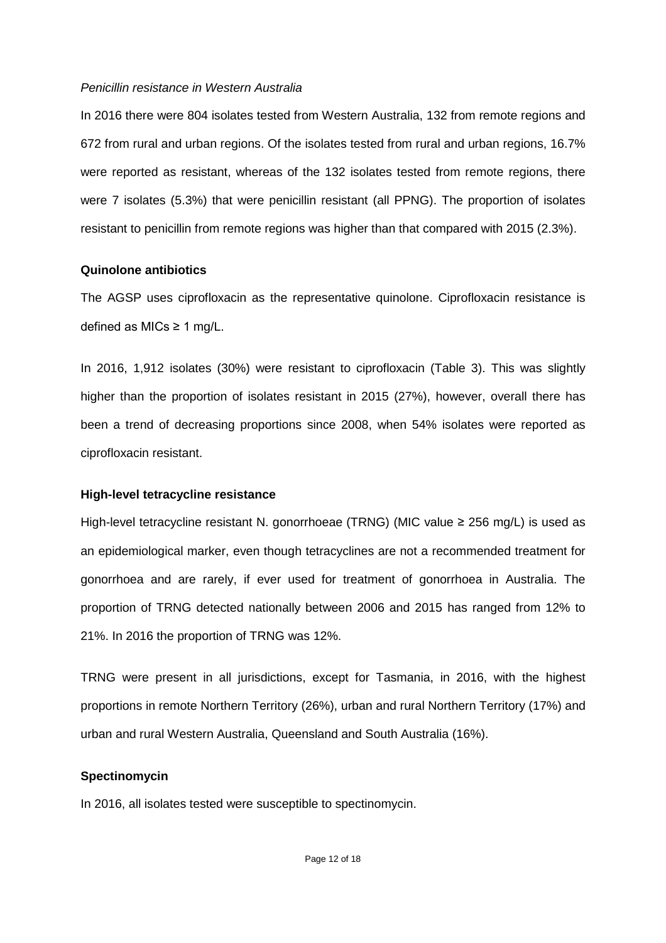#### *Penicillin resistance in Western Australia*

In 2016 there were 804 isolates tested from Western Australia, 132 from remote regions and 672 from rural and urban regions. Of the isolates tested from rural and urban regions, 16.7% were reported as resistant, whereas of the 132 isolates tested from remote regions, there were 7 isolates (5.3%) that were penicillin resistant (all PPNG). The proportion of isolates resistant to penicillin from remote regions was higher than that compared with 2015 (2.3%).

#### **Quinolone antibiotics**

The AGSP uses ciprofloxacin as the representative quinolone. Ciprofloxacin resistance is defined as MICs  $\geq$  1 mg/L.

In 2016, 1,912 isolates (30%) were resistant to ciprofloxacin (Table 3). This was slightly higher than the proportion of isolates resistant in 2015 (27%), however, overall there has been a trend of decreasing proportions since 2008, when 54% isolates were reported as ciprofloxacin resistant.

## **High-level tetracycline resistance**

High-level tetracycline resistant N. gonorrhoeae (TRNG) (MIC value ≥ 256 mg/L) is used as an epidemiological marker, even though tetracyclines are not a recommended treatment for gonorrhoea and are rarely, if ever used for treatment of gonorrhoea in Australia. The proportion of TRNG detected nationally between 2006 and 2015 has ranged from 12% to 21%. In 2016 the proportion of TRNG was 12%.

TRNG were present in all jurisdictions, except for Tasmania, in 2016, with the highest proportions in remote Northern Territory (26%), urban and rural Northern Territory (17%) and urban and rural Western Australia, Queensland and South Australia (16%).

## **Spectinomycin**

In 2016, all isolates tested were susceptible to spectinomycin.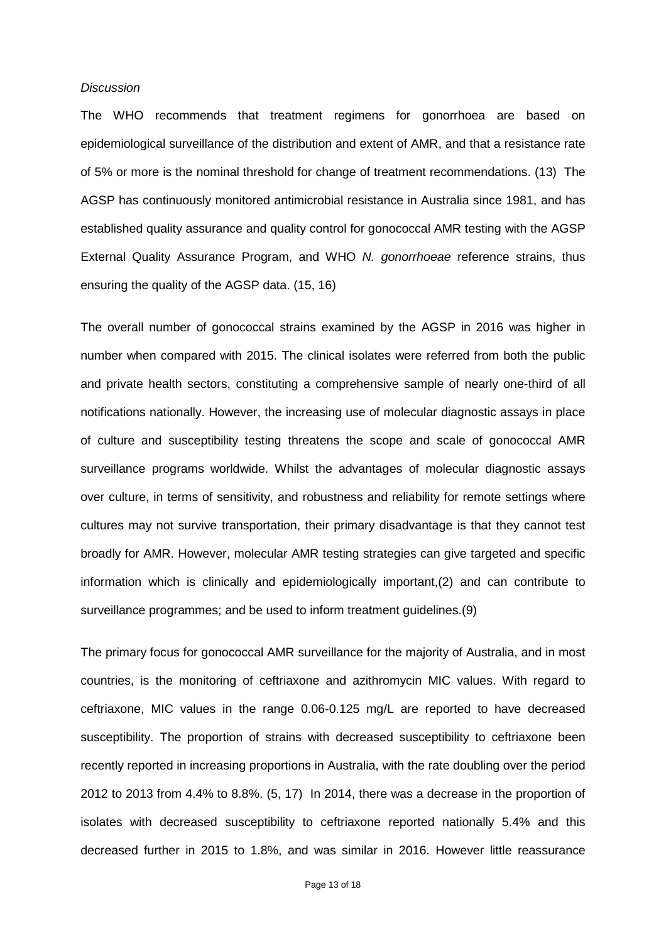#### *Discussion*

The WHO recommends that treatment regimens for gonorrhoea are based on epidemiological surveillance of the distribution and extent of AMR, and that a resistance rate of 5% or more is the nominal threshold for change of treatment recommendations. [\(13\)](#page-16-12) The AGSP has continuously monitored antimicrobial resistance in Australia since 1981, and has established quality assurance and quality control for gonococcal AMR testing with the AGSP External Quality Assurance Program, and WHO *N. gonorrhoeae* reference strains, thus ensuring the quality of the AGSP data. [\(15,](#page-16-14) [16\)](#page-16-15)

The overall number of gonococcal strains examined by the AGSP in 2016 was higher in number when compared with 2015. The clinical isolates were referred from both the public and private health sectors, constituting a comprehensive sample of nearly one-third of all notifications nationally. However, the increasing use of molecular diagnostic assays in place of culture and susceptibility testing threatens the scope and scale of gonococcal AMR surveillance programs worldwide. Whilst the advantages of molecular diagnostic assays over culture, in terms of sensitivity, and robustness and reliability for remote settings where cultures may not survive transportation, their primary disadvantage is that they cannot test broadly for AMR. However, molecular AMR testing strategies can give targeted and specific information which is clinically and epidemiologically important,[\(2\)](#page-16-1) and can contribute to surveillance programmes; and be used to inform treatment guidelines.[\(9\)](#page-16-8)

The primary focus for gonococcal AMR surveillance for the majority of Australia, and in most countries, is the monitoring of ceftriaxone and azithromycin MIC values. With regard to ceftriaxone, MIC values in the range 0.06-0.125 mg/L are reported to have decreased susceptibility. The proportion of strains with decreased susceptibility to ceftriaxone been recently reported in increasing proportions in Australia, with the rate doubling over the period 2012 to 2013 from 4.4% to 8.8%. [\(5,](#page-16-4) [17\)](#page-16-16) In 2014, there was a decrease in the proportion of isolates with decreased susceptibility to ceftriaxone reported nationally 5.4% and this decreased further in 2015 to 1.8%, and was similar in 2016. However little reassurance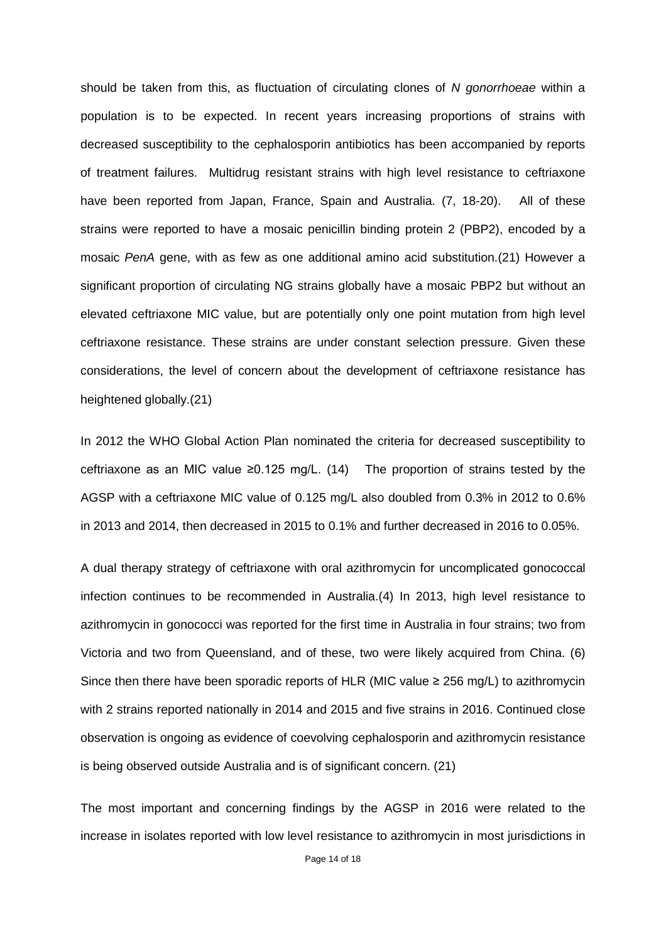should be taken from this, as fluctuation of circulating clones of *N gonorrhoeae* within a population is to be expected. In recent years increasing proportions of strains with decreased susceptibility to the cephalosporin antibiotics has been accompanied by reports of treatment failures. Multidrug resistant strains with high level resistance to ceftriaxone have been reported from Japan, France, Spain and Australia. [\(7,](#page-16-6) [18-20\)](#page-16-17). All of these strains were reported to have a mosaic penicillin binding protein 2 (PBP2), encoded by a mosaic *PenA* gene, with as few as one additional amino acid substitution.[\(21\)](#page-17-0) However a significant proportion of circulating NG strains globally have a mosaic PBP2 but without an elevated ceftriaxone MIC value, but are potentially only one point mutation from high level ceftriaxone resistance. These strains are under constant selection pressure. Given these considerations, the level of concern about the development of ceftriaxone resistance has heightened globally.[\(21\)](#page-17-0)

In 2012 the WHO Global Action Plan nominated the criteria for decreased susceptibility to ceftriaxone as an MIC value ≥0.125 mg/L. [\(14\)](#page-16-13) The proportion of strains tested by the AGSP with a ceftriaxone MIC value of 0.125 mg/L also doubled from 0.3% in 2012 to 0.6% in 2013 and 2014, then decreased in 2015 to 0.1% and further decreased in 2016 to 0.05%.

A dual therapy strategy of ceftriaxone with oral azithromycin for uncomplicated gonococcal infection continues to be recommended in Australia.[\(4\)](#page-16-3) In 2013, high level resistance to azithromycin in gonococci was reported for the first time in Australia in four strains; two from Victoria and two from Queensland, and of these, two were likely acquired from China. [\(6\)](#page-16-5) Since then there have been sporadic reports of HLR (MIC value  $\geq$  256 mg/L) to azithromycin with 2 strains reported nationally in 2014 and 2015 and five strains in 2016. Continued close observation is ongoing as evidence of coevolving cephalosporin and azithromycin resistance is being observed outside Australia and is of significant concern. [\(21\)](#page-17-0)

The most important and concerning findings by the AGSP in 2016 were related to the increase in isolates reported with low level resistance to azithromycin in most jurisdictions in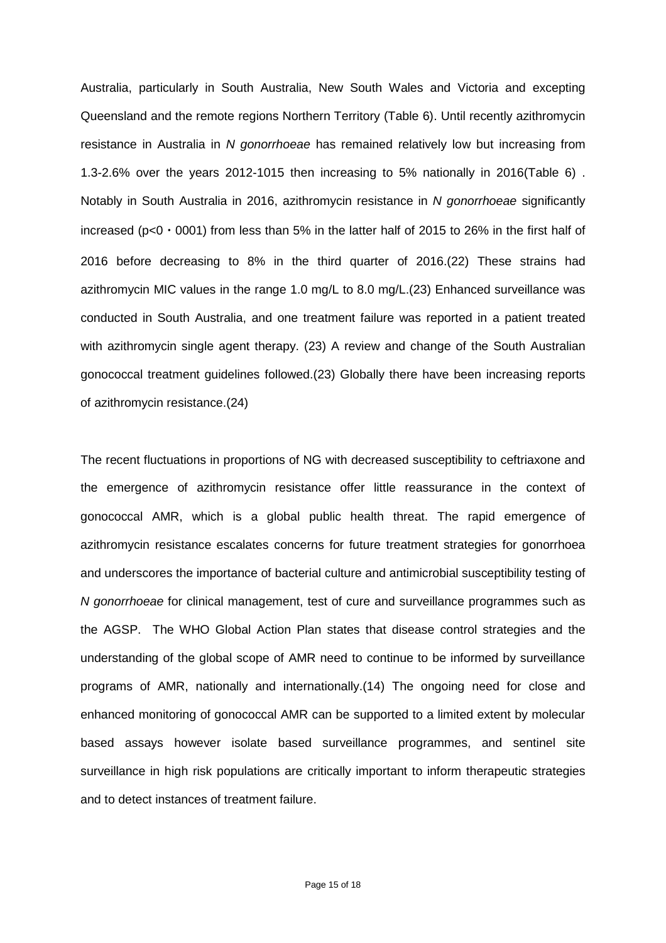Australia, particularly in South Australia, New South Wales and Victoria and excepting Queensland and the remote regions Northern Territory (Table 6). Until recently azithromycin resistance in Australia in *N gonorrhoeae* has remained relatively low but increasing from 1.3-2.6% over the years 2012-1015 then increasing to 5% nationally in 2016(Table 6) . Notably in South Australia in 2016, azithromycin resistance in *N gonorrhoeae* significantly increased ( $p<0.0001$ ) from less than 5% in the latter half of 2015 to 26% in the first half of 2016 before decreasing to 8% in the third quarter of 2016.[\(22\)](#page-17-1) These strains had azithromycin MIC values in the range 1.0 mg/L to 8.0 mg/L.[\(23\)](#page-17-2) Enhanced surveillance was conducted in South Australia, and one treatment failure was reported in a patient treated with azithromycin single agent therapy. [\(23\)](#page-17-2) A review and change of the South Australian gonococcal treatment guidelines followed.[\(23\)](#page-17-2) Globally there have been increasing reports of azithromycin resistance.[\(24\)](#page-17-3)

The recent fluctuations in proportions of NG with decreased susceptibility to ceftriaxone and the emergence of azithromycin resistance offer little reassurance in the context of gonococcal AMR, which is a global public health threat. The rapid emergence of azithromycin resistance escalates concerns for future treatment strategies for gonorrhoea and underscores the importance of bacterial culture and antimicrobial susceptibility testing of *N gonorrhoeae* for clinical management, test of cure and surveillance programmes such as the AGSP. The WHO Global Action Plan states that disease control strategies and the understanding of the global scope of AMR need to continue to be informed by surveillance programs of AMR, nationally and internationally.[\(14\)](#page-16-13) The ongoing need for close and enhanced monitoring of gonococcal AMR can be supported to a limited extent by molecular based assays however isolate based surveillance programmes, and sentinel site surveillance in high risk populations are critically important to inform therapeutic strategies and to detect instances of treatment failure.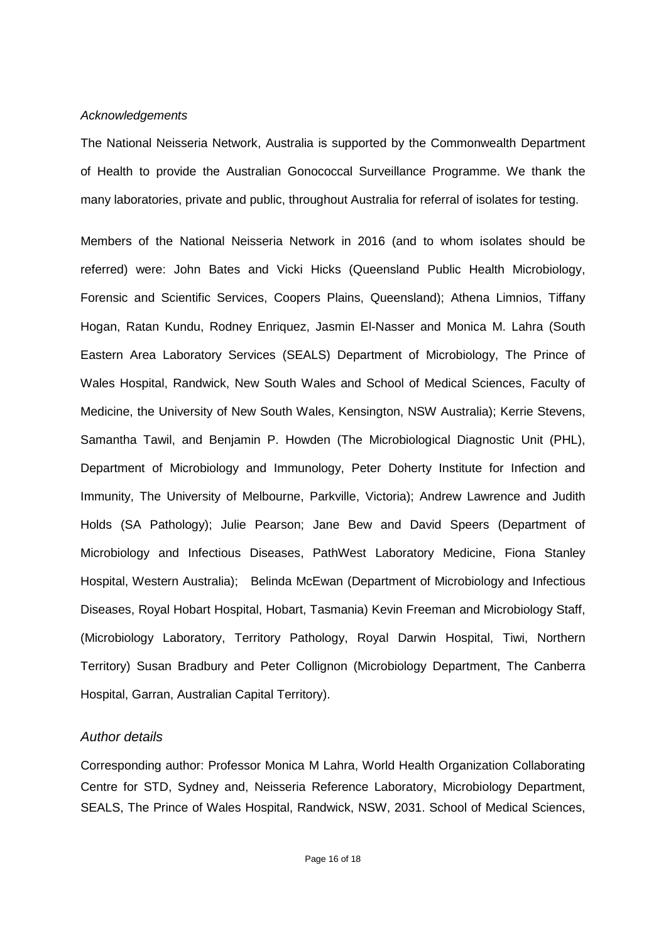#### *Acknowledgements*

The National Neisseria Network, Australia is supported by the Commonwealth Department of Health to provide the Australian Gonococcal Surveillance Programme. We thank the many laboratories, private and public, throughout Australia for referral of isolates for testing.

Members of the National Neisseria Network in 2016 (and to whom isolates should be referred) were: John Bates and Vicki Hicks (Queensland Public Health Microbiology, Forensic and Scientific Services, Coopers Plains, Queensland); Athena Limnios, Tiffany Hogan, Ratan Kundu, Rodney Enriquez, Jasmin El-Nasser and Monica M. Lahra (South Eastern Area Laboratory Services (SEALS) Department of Microbiology, The Prince of Wales Hospital, Randwick, New South Wales and School of Medical Sciences, Faculty of Medicine, the University of New South Wales, Kensington, NSW Australia); Kerrie Stevens, Samantha Tawil, and Benjamin P. Howden (The Microbiological Diagnostic Unit (PHL), Department of Microbiology and Immunology, Peter Doherty Institute for Infection and Immunity, The University of Melbourne, Parkville, Victoria); Andrew Lawrence and Judith Holds (SA Pathology); Julie Pearson; Jane Bew and David Speers (Department of Microbiology and Infectious Diseases, PathWest Laboratory Medicine, Fiona Stanley Hospital, Western Australia); Belinda McEwan (Department of Microbiology and Infectious Diseases, Royal Hobart Hospital, Hobart, Tasmania) Kevin Freeman and Microbiology Staff, (Microbiology Laboratory, Territory Pathology, Royal Darwin Hospital, Tiwi, Northern Territory) Susan Bradbury and Peter Collignon (Microbiology Department, The Canberra Hospital, Garran, Australian Capital Territory).

#### *Author details*

Corresponding author: Professor Monica M Lahra, World Health Organization Collaborating Centre for STD, Sydney and, Neisseria Reference Laboratory, Microbiology Department, SEALS, The Prince of Wales Hospital, Randwick, NSW, 2031. School of Medical Sciences,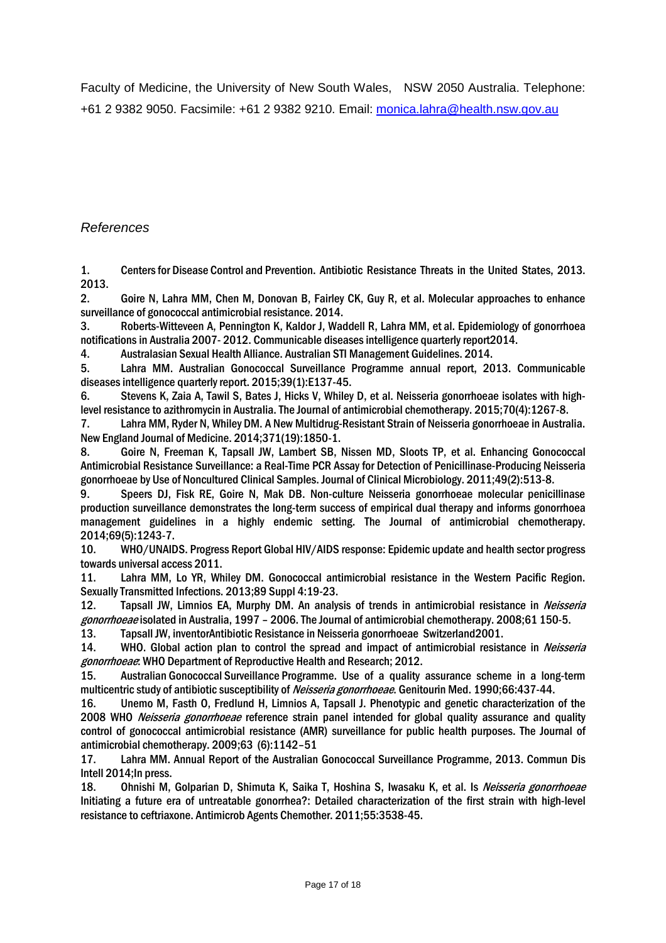Faculty of Medicine, the University of New South Wales, NSW 2050 Australia. Telephone: +61 2 9382 9050. Facsimile: +61 2 9382 9210. Email: [monica.lahra@health.nsw.gov.au](mailto:monica.lahra@health.nsw.gov.au)

# *References*

<span id="page-16-0"></span>1. Centersfor Disease Control and Prevention. Antibiotic Resistance Threats in the United States, 2013. 2013.

<span id="page-16-1"></span>2. Goire N, Lahra MM, Chen M, Donovan B, Fairley CK, Guy R, et al. Molecular approaches to enhance surveillance of gonococcal antimicrobial resistance. 2014.

<span id="page-16-2"></span>3. Roberts-Witteveen A, Pennington K, Kaldor J, Waddell R, Lahra MM, et al. Epidemiology of gonorrhoea notifications in Australia 2007- 2012. Communicable diseases intelligence quarterly report2014.

<span id="page-16-3"></span>4. Australasian Sexual Health Alliance. Australian STI Management Guidelines. 2014.

<span id="page-16-4"></span>5. Lahra MM. Australian Gonococcal Surveillance Programme annual report, 2013. Communicable diseases intelligence quarterly report. 2015;39(1):E137-45.

<span id="page-16-5"></span>6. Stevens K, Zaia A, Tawil S, Bates J, Hicks V, Whiley D, et al. Neisseria gonorrhoeae isolates with highlevel resistance to azithromycin in Australia. The Journal of antimicrobial chemotherapy. 2015;70(4):1267-8.

<span id="page-16-6"></span>7. Lahra MM, Ryder N, Whiley DM. A New Multidrug-Resistant Strain of Neisseria gonorrhoeae in Australia. New England Journal of Medicine. 2014;371(19):1850-1.

<span id="page-16-7"></span>8. Goire N, Freeman K, Tapsall JW, Lambert SB, Nissen MD, Sloots TP, et al. Enhancing Gonococcal Antimicrobial Resistance Surveillance: a Real-Time PCR Assay for Detection of Penicillinase-Producing Neisseria gonorrhoeae by Use of Noncultured Clinical Samples. Journal of Clinical Microbiology. 2011;49(2):513-8.

<span id="page-16-8"></span>9. Speers DJ, Fisk RE, Goire N, Mak DB. Non-culture Neisseria gonorrhoeae molecular penicillinase production surveillance demonstrates the long-term success of empirical dual therapy and informs gonorrhoea management guidelines in a highly endemic setting. The Journal of antimicrobial chemotherapy. 2014;69(5):1243-7.

<span id="page-16-9"></span>10. WHO/UNAIDS. Progress Report Global HIV/AIDS response: Epidemic update and health sector progress towards universal access 2011.

<span id="page-16-10"></span>11. Lahra MM, Lo YR, Whiley DM. Gonococcal antimicrobial resistance in the Western Pacific Region. Sexually Transmitted Infections. 2013;89 Suppl 4:19-23.

<span id="page-16-11"></span>12. Tapsall JW, Limnios EA, Murphy DM. An analysis of trends in antimicrobial resistance in Neisseria gonorrhoeae isolated in Australia, 1997 – 2006. The Journal of antimicrobial chemotherapy. 2008;61 150-5.<br>13. Tapsall JW. inventorAntibiotic Resistance in Neisseria gonorrhoeae Switzerland2001.

<span id="page-16-12"></span>13. Tapsall JW, inventorAntibiotic Resistance in Neisseria gonorrhoeae Switzerland2001.

<span id="page-16-13"></span>14. WHO. Global action plan to control the spread and impact of antimicrobial resistance in *Neisseria* gonorrhoeae: WHO Department of Reproductive Health and Research; 2012.

<span id="page-16-14"></span>15. Australian Gonococcal Surveillance Programme. Use of a quality assurance scheme in a long-term multicentric study of antibiotic susceptibility of Neisseria gonorrhoeae. Genitourin Med. 1990;66:437-44.

<span id="page-16-15"></span>16. Unemo M, Fasth O, Fredlund H, Limnios A, Tapsall J. Phenotypic and genetic characterization of the 2008 WHO Neisseria gonorrhoeae reference strain panel intended for global quality assurance and quality control of gonococcal antimicrobial resistance (AMR) surveillance for public health purposes. The Journal of antimicrobial chemotherapy. 2009;63 (6):1142–51

<span id="page-16-16"></span>Lahra MM. Annual Report of the Australian Gonococcal Surveillance Programme, 2013. Commun Dis Intell 2014;In press.

<span id="page-16-17"></span>18. Ohnishi M, Golparian D, Shimuta K, Saika T, Hoshina S, Iwasaku K, et al. Is Neisseria gonorrhoeae Initiating a future era of untreatable gonorrhea?: Detailed characterization of the first strain with high-level resistance to ceftriaxone. Antimicrob Agents Chemother. 2011;55:3538-45.